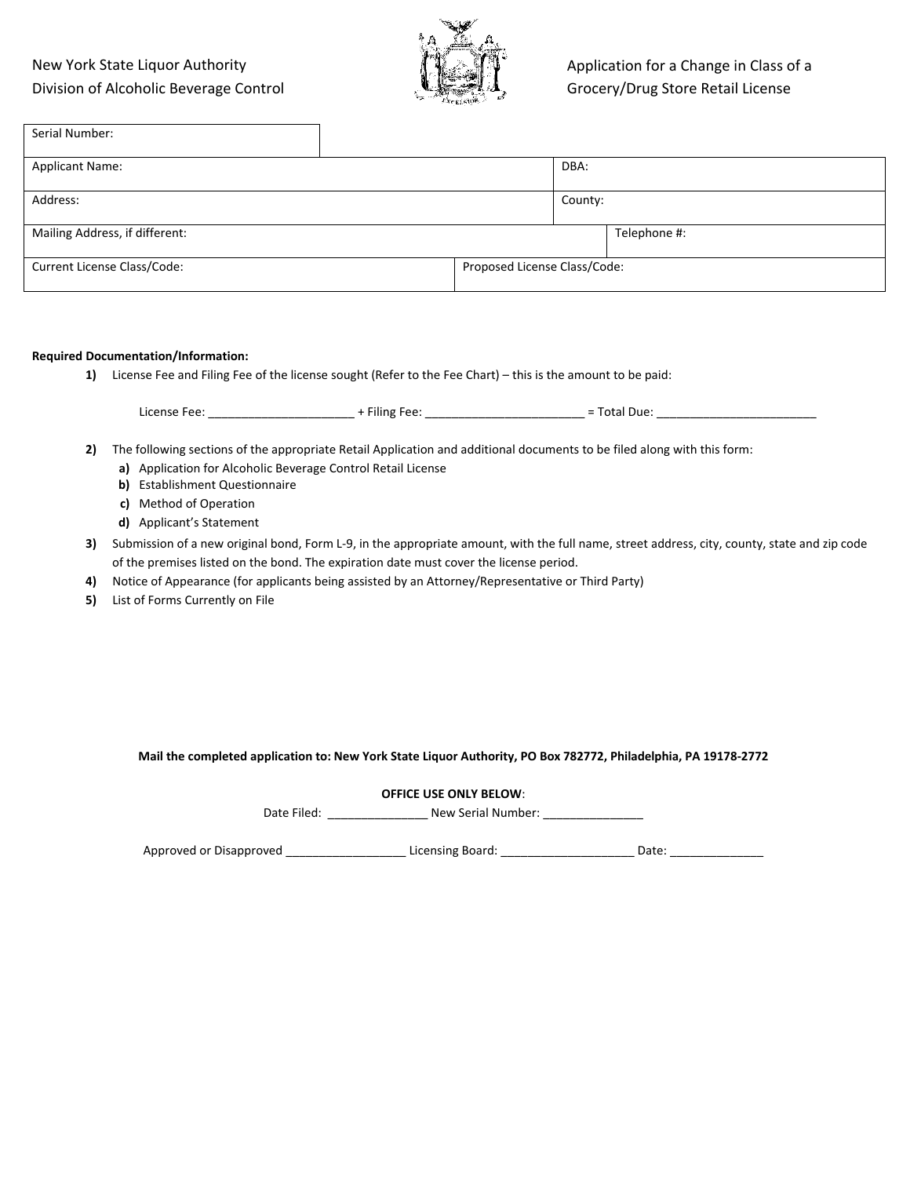## New York State Liquor Authority Division of Alcoholic Beverage Control



| Serial Number:                 |                              |         |              |
|--------------------------------|------------------------------|---------|--------------|
| <b>Applicant Name:</b>         |                              | DBA:    |              |
| Address:                       |                              | County: |              |
| Mailing Address, if different: |                              |         | Telephone #: |
| Current License Class/Code:    | Proposed License Class/Code: |         |              |

#### **Required Documentation/Information:**

**1)** License Fee and Filing Fee of the license sought (Refer to the Fee Chart) – this is the amount to be paid:

|          |                                                                     |                                                                                                   | License Fee: The Contract of the Heather Heather Heather Heather Formula and Total Due:                                                      |  |
|----------|---------------------------------------------------------------------|---------------------------------------------------------------------------------------------------|----------------------------------------------------------------------------------------------------------------------------------------------|--|
| 2)       | b) Establishment Questionnaire<br>c) Method of Operation            | a) Application for Alcoholic Beverage Control Retail License                                      | The following sections of the appropriate Retail Application and additional documents to be filed along with this form:                      |  |
|          | d) Grocery Store/Drug Store Stipulation<br>e) Applicant's Statement |                                                                                                   |                                                                                                                                              |  |
| 3).      |                                                                     | of the premises listed on the bond. The expiration date must cover the license period.            | Submission of a new original bond, Form L-9, in the appropriate amount, with the full name, street address, city, county, state and zip code |  |
| 4)<br>5) | List of Forms Currently on File                                     | Notice of Appearance (for applicants being assisted by an Attorney/Representative or Third Party) |                                                                                                                                              |  |
|          |                                                                     |                                                                                                   |                                                                                                                                              |  |
|          |                                                                     |                                                                                                   |                                                                                                                                              |  |
|          |                                                                     |                                                                                                   |                                                                                                                                              |  |
|          |                                                                     |                                                                                                   | Mail the completed application to: New York State Liquor Authority, PO Box 782772, Philadelphia, PA 19178-2772                               |  |

Date Filed: \_\_\_\_\_\_\_\_\_\_\_\_\_\_\_\_\_\_\_\_ New Serial Number: \_\_\_\_\_\_\_\_\_\_\_\_\_\_\_\_\_\_\_\_\_\_\_\_\_\_\_\_

Approved or Disapproved \_\_\_\_\_\_\_\_\_\_\_\_\_\_\_\_\_\_ Licensing Board: \_\_\_\_\_\_\_\_\_\_\_\_\_\_\_\_\_\_\_\_ Date: \_\_\_\_\_\_\_\_\_\_\_\_\_\_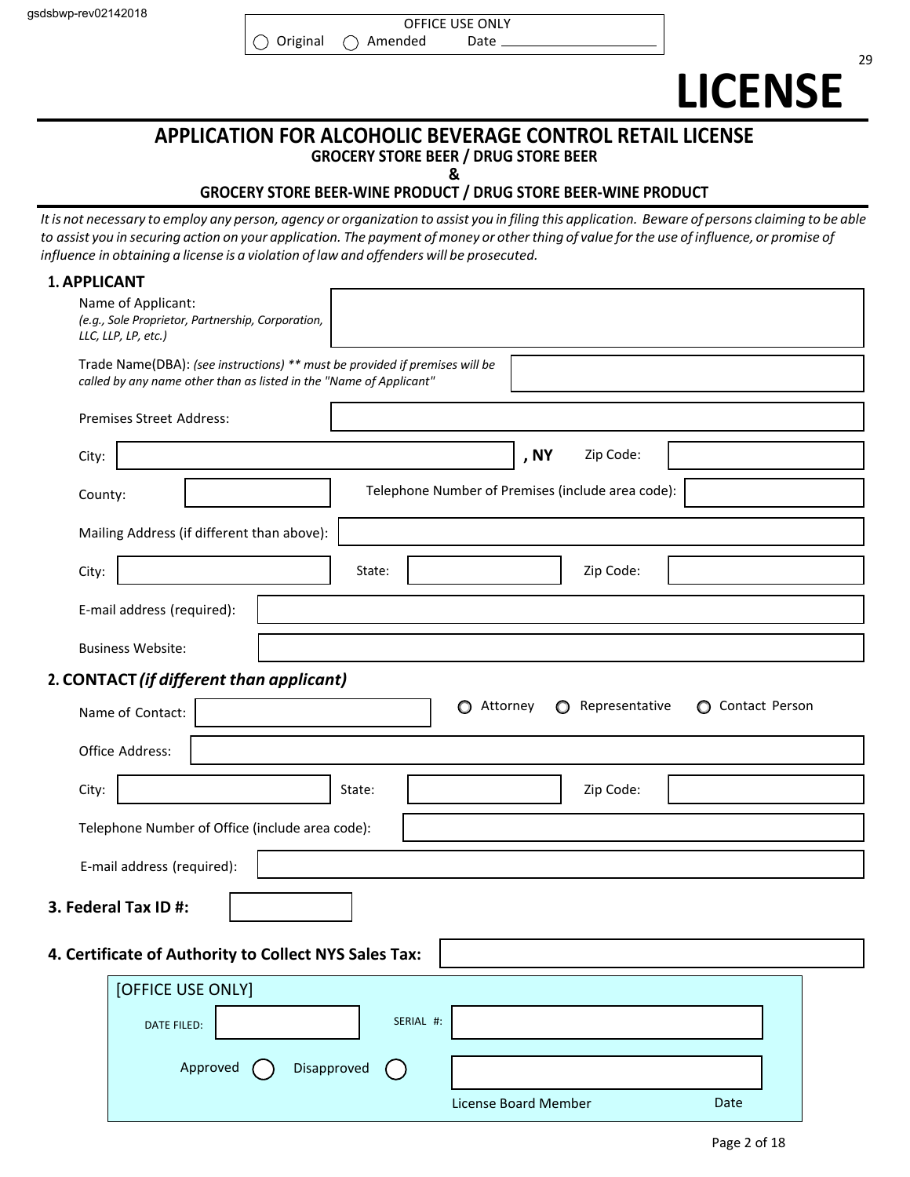29

# **APPLICATION FOR ALCOHOLIC BEVERAGE CONTROL RETAIL LICENSE GROCERY STORE BEER / DRUG STORE BEER**

**&**

## **GROCERY STORE BEER-WINE PRODUCT / DRUG STORE BEER-WINE PRODUCT**

It is not necessary to employ any person, agency or organization to assist you in filing this application. Beware of persons claiming to be able to assist you in securing action on your application. The payment of money or other thing of value for the use of influence, or promise of *influence in obtaining a license is a violation of law and offenders will be prosecuted.*

| <b>1. APPLICANT</b> |                                                                                                                                                   |             |                                                   |                |                  |  |
|---------------------|---------------------------------------------------------------------------------------------------------------------------------------------------|-------------|---------------------------------------------------|----------------|------------------|--|
|                     | Name of Applicant:<br>(e.g., Sole Proprietor, Partnership, Corporation,<br>LLC, LLP, LP, etc.)                                                    |             |                                                   |                |                  |  |
|                     | Trade Name(DBA): (see instructions) ** must be provided if premises will be<br>called by any name other than as listed in the "Name of Applicant" |             |                                                   |                |                  |  |
|                     | Premises Street Address:                                                                                                                          |             |                                                   |                |                  |  |
| City:               |                                                                                                                                                   |             | , NY                                              | Zip Code:      |                  |  |
| County:             |                                                                                                                                                   |             | Telephone Number of Premises (include area code): |                |                  |  |
|                     | Mailing Address (if different than above):                                                                                                        |             |                                                   |                |                  |  |
| City:               |                                                                                                                                                   | State:      |                                                   | Zip Code:      |                  |  |
|                     | E-mail address (required):                                                                                                                        |             |                                                   |                |                  |  |
|                     | <b>Business Website:</b>                                                                                                                          |             |                                                   |                |                  |  |
|                     | 2. CONTACT (if different than applicant)                                                                                                          |             |                                                   |                |                  |  |
|                     | Name of Contact:                                                                                                                                  |             | Attorney<br>O<br>$\circ$                          | Representative | ◯ Contact Person |  |
|                     | Office Address:                                                                                                                                   |             |                                                   |                |                  |  |
| City:               |                                                                                                                                                   | State:      |                                                   | Zip Code:      |                  |  |
|                     | Telephone Number of Office (include area code):                                                                                                   |             |                                                   |                |                  |  |
|                     | E-mail address (required):                                                                                                                        |             |                                                   |                |                  |  |
|                     | 3. Federal Tax ID #:                                                                                                                              |             |                                                   |                |                  |  |
|                     | 4. Certificate of Authority to Collect NYS Sales Tax:                                                                                             |             |                                                   |                |                  |  |
|                     | [OFFICE USE ONLY]                                                                                                                                 |             |                                                   |                |                  |  |
|                     | DATE FILED:                                                                                                                                       | SERIAL #:   |                                                   |                |                  |  |
|                     | Approved                                                                                                                                          | Disapproved |                                                   |                |                  |  |
|                     |                                                                                                                                                   |             | License Board Member                              |                | Date             |  |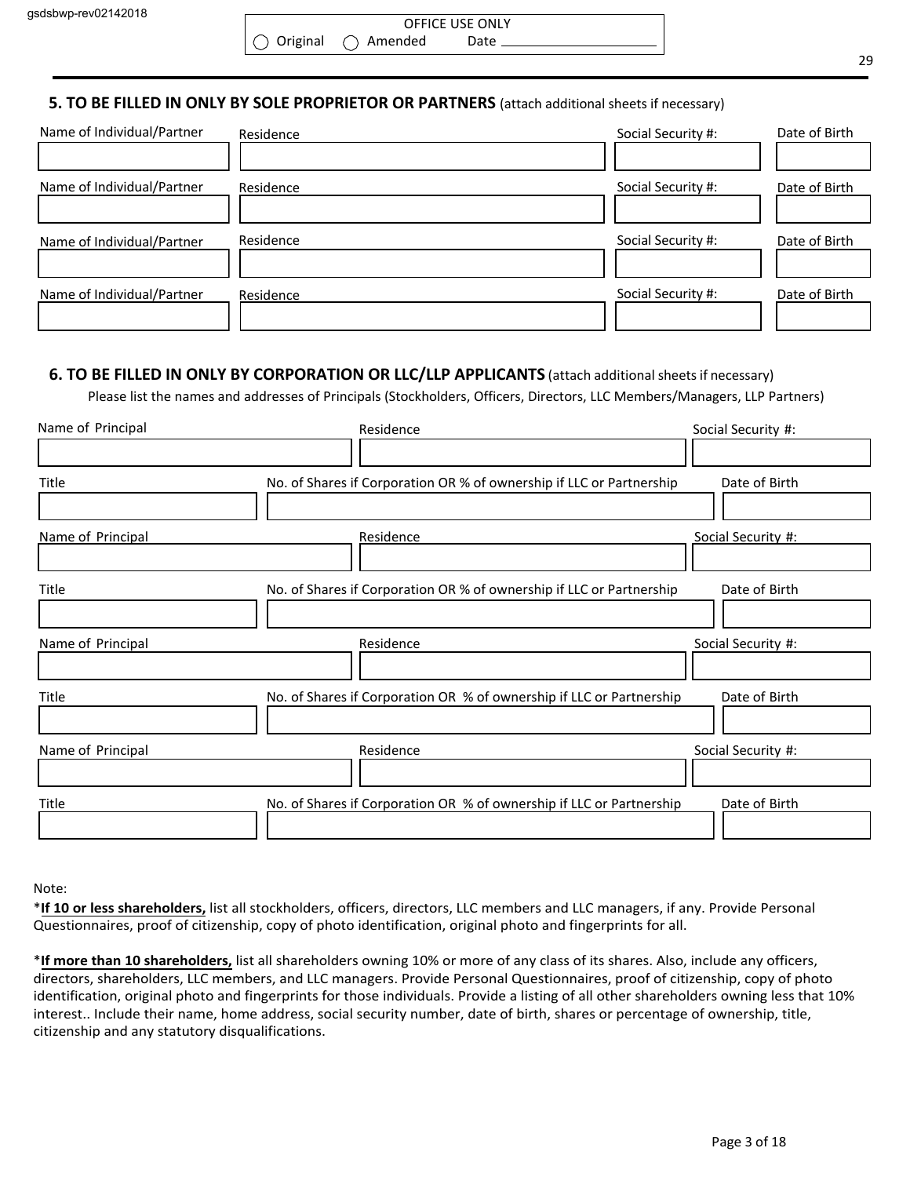# **5. TO BE FILLED IN ONLY BY SOLE PROPRIETOR OR PARTNERS** (attach additional sheets if necessary)

| Name of Individual/Partner | Residence | Social Security #: | Date of Birth |
|----------------------------|-----------|--------------------|---------------|
| Name of Individual/Partner | Residence | Social Security #: | Date of Birth |
| Name of Individual/Partner | Residence | Social Security #: | Date of Birth |
| Name of Individual/Partner | Residence | Social Security #: | Date of Birth |

## **6. TO BE FILLED IN ONLY BY CORPORATION OR LLC/LLP APPLICANTS** (attach additional sheetsif necessary)

Please list the names and addresses of Principals (Stockholders, Officers, Directors, LLC Members/Managers, LLP Partners)

| Name of Principal | Residence                                                            | Social Security #: |
|-------------------|----------------------------------------------------------------------|--------------------|
|                   |                                                                      |                    |
| Title             | No. of Shares if Corporation OR % of ownership if LLC or Partnership | Date of Birth      |
|                   |                                                                      |                    |
| Name of Principal | Residence                                                            | Social Security #: |
|                   |                                                                      |                    |
| Title             | No. of Shares if Corporation OR % of ownership if LLC or Partnership | Date of Birth      |
|                   |                                                                      |                    |
| Name of Principal | Residence                                                            | Social Security #: |
|                   |                                                                      |                    |
| Title             | No. of Shares if Corporation OR % of ownership if LLC or Partnership | Date of Birth      |
|                   |                                                                      |                    |
| Name of Principal | Residence                                                            | Social Security #: |
|                   |                                                                      |                    |
| Title             | No. of Shares if Corporation OR % of ownership if LLC or Partnership | Date of Birth      |
|                   |                                                                      |                    |

Note:

\***If 10 or less shareholders,** list all stockholders, officers, directors, LLC members and LLC managers, if any. Provide Personal Questionnaires, proof of citizenship, copy of photo identification, original photo and fingerprints for all.

\***If more than 10 shareholders,** list all shareholders owning 10% or more of any class of its shares. Also, include any officers, directors, shareholders, LLC members, and LLC managers. Provide Personal Questionnaires, proof of citizenship, copy of photo identification, original photo and fingerprints for those individuals. Provide a listing of all other shareholders owning less that 10% interest.. Include their name, home address, social security number, date of birth, shares or percentage of ownership, title, citizenship and any statutory disqualifications.

29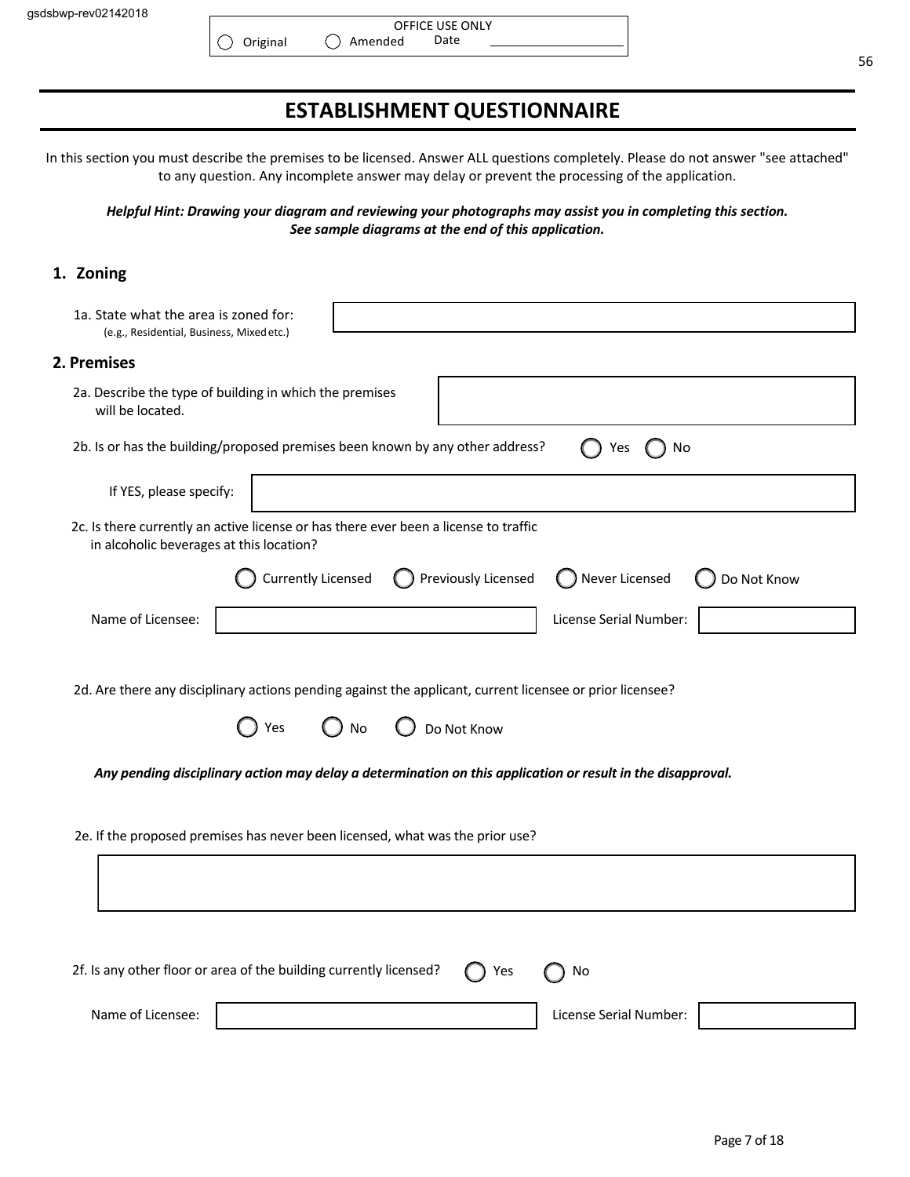# **ESTABLISHMENT QUESTIONNAIRE**

In this section you must describe the premises to be licensed. Answer ALL questions completely. Please do not answer "see attached" to any question. Any incomplete answer may delay or prevent the processing of the application.

*Helpful Hint: Drawing your diagram and reviewing your photographs may assist you in completing this section. See sample diagrams at the end of this application.*

### **1. Zoning**

| 1a. State what the area is zoned for:<br>(e.g., Residential, Business, Mixed etc.)                                                    |
|---------------------------------------------------------------------------------------------------------------------------------------|
| 2. Premises                                                                                                                           |
| 2a. Describe the type of building in which the premises<br>will be located.                                                           |
| 2b. Is or has the building/proposed premises been known by any other address?<br>Yes<br>No                                            |
| If YES, please specify:                                                                                                               |
| 2c. Is there currently an active license or has there ever been a license to traffic<br>in alcoholic beverages at this location?      |
| Previously Licensed<br><b>Currently Licensed</b><br>◯ Never Licensed<br>Do Not Know                                                   |
| Name of Licensee:<br>License Serial Number:                                                                                           |
| 2d. Are there any disciplinary actions pending against the applicant, current licensee or prior licensee?<br>Yes<br>Do Not Know<br>No |
| Any pending disciplinary action may delay a determination on this application or result in the disapproval.                           |
| 2e. If the proposed premises has never been licensed, what was the prior use?                                                         |
|                                                                                                                                       |
|                                                                                                                                       |
| 2f. Is any other floor or area of the building currently licensed?<br>Yes<br>No                                                       |
| Name of Licensee:<br>License Serial Number:                                                                                           |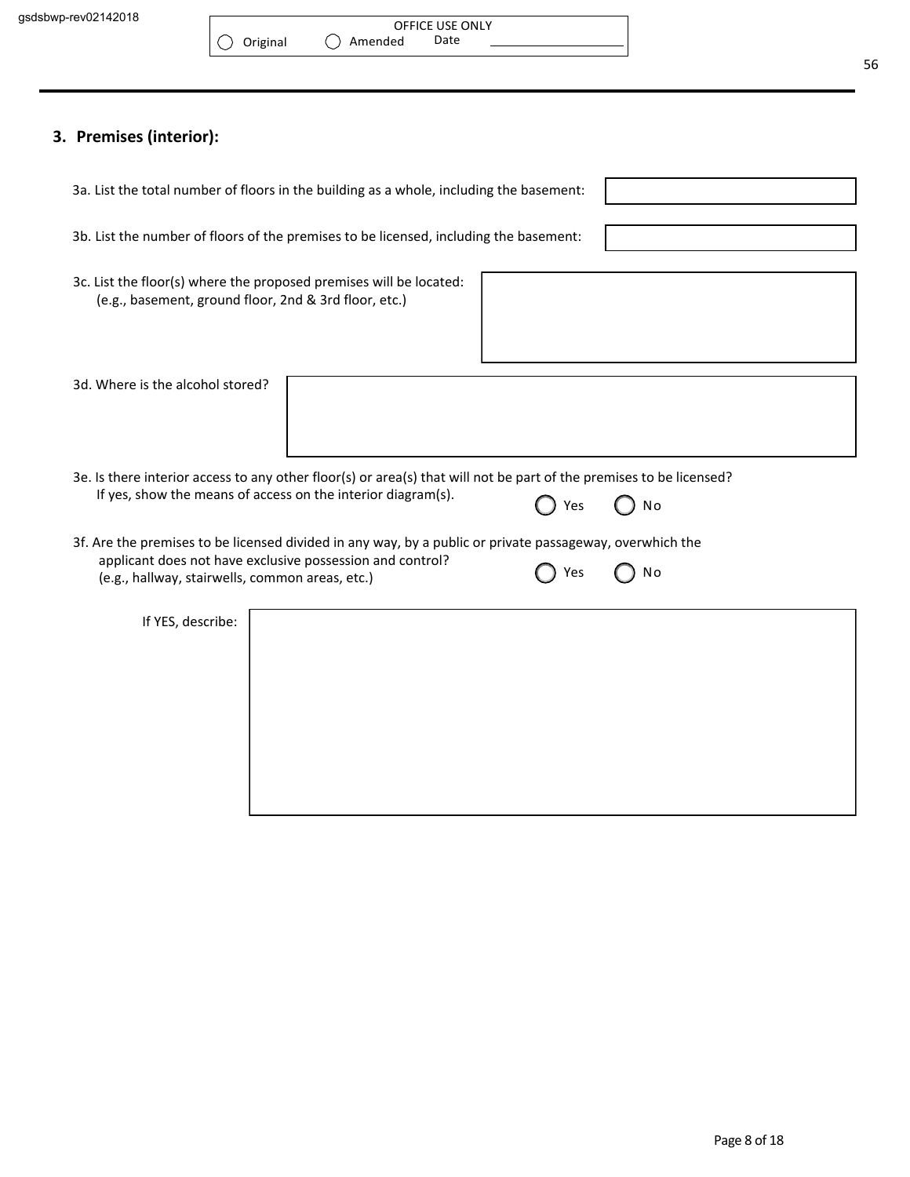# **3. Premises (interior):**

| 3a. List the total number of floors in the building as a whole, including the basement:                                     |  |     |                |
|-----------------------------------------------------------------------------------------------------------------------------|--|-----|----------------|
| 3b. List the number of floors of the premises to be licensed, including the basement:                                       |  |     |                |
| 3c. List the floor(s) where the proposed premises will be located:<br>(e.g., basement, ground floor, 2nd & 3rd floor, etc.) |  |     |                |
| 3d. Where is the alcohol stored?                                                                                            |  |     |                |
| 3e. Is there interior access to any other floor(s) or area(s) that will not be part of the premises to be licensed?         |  |     |                |
| If yes, show the means of access on the interior diagram(s).                                                                |  | Yes | <b>No</b>      |
| 3f. Are the premises to be licensed divided in any way, by a public or private passageway, overwhich the                    |  |     |                |
| applicant does not have exclusive possession and control?<br>(e.g., hallway, stairwells, common areas, etc.)                |  | Yes | N <sub>o</sub> |
| If YES, describe:                                                                                                           |  |     |                |
|                                                                                                                             |  |     |                |
|                                                                                                                             |  |     |                |
|                                                                                                                             |  |     |                |
|                                                                                                                             |  |     |                |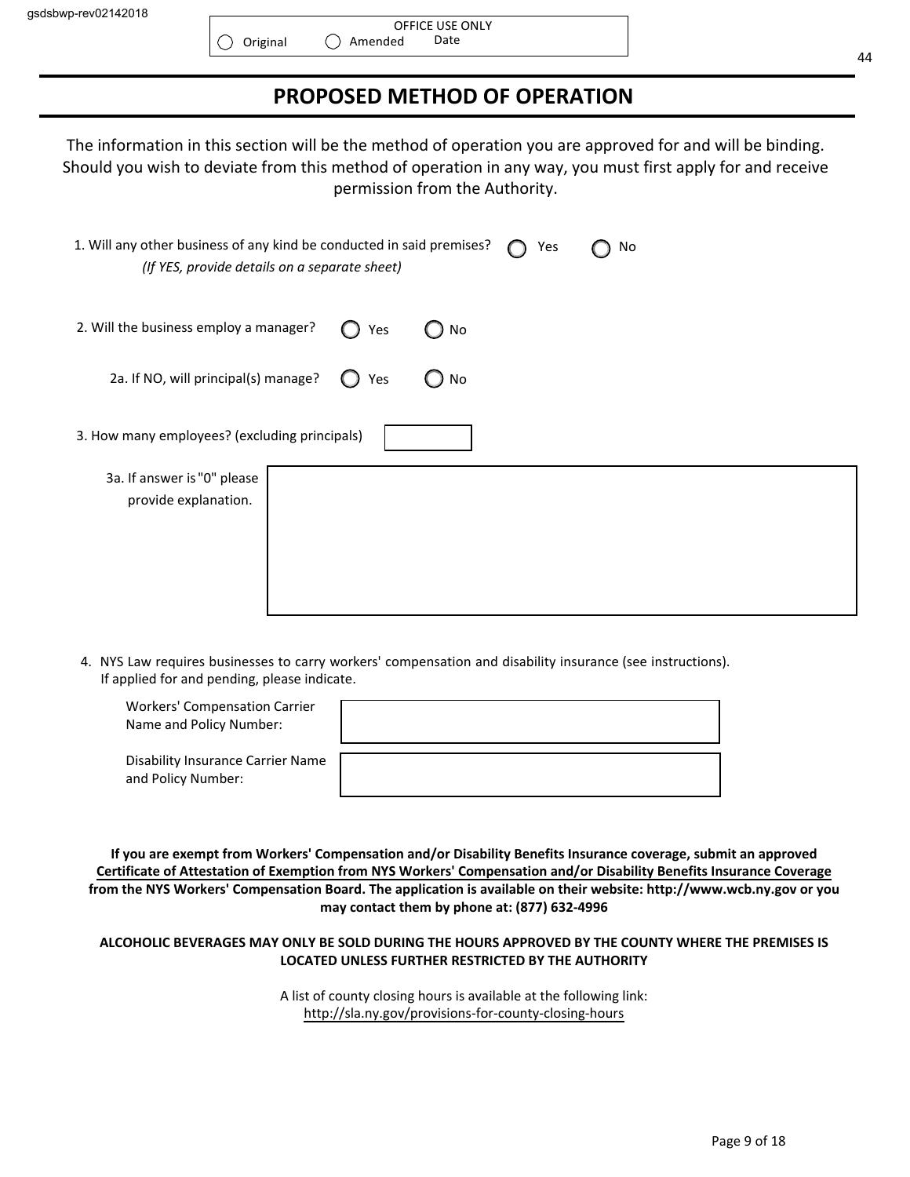$\bigcirc$ 

# **PROPOSED METHOD OF OPERATION**

The information in this section will be the method of operation you are approved for and will be binding. Should you wish to deviate from this method of operation in any way, you must first apply for and receive permission from the Authority.

| 1. Will any other business of any kind be conducted in said premises?<br>(If YES, provide details on a separate sheet) |     |    | Yes | No |  |
|------------------------------------------------------------------------------------------------------------------------|-----|----|-----|----|--|
| 2. Will the business employ a manager?                                                                                 | Yes | No |     |    |  |
| 2a. If NO, will principal(s) manage?                                                                                   | Yes | No |     |    |  |
| 3. How many employees? (excluding principals)                                                                          |     |    |     |    |  |
| 3a. If answer is "0" please<br>provide explanation.                                                                    |     |    |     |    |  |

4. NYS Law requires businesses to carry workers' compensation and disability insurance (see instructions). If applied for and pending, please indicate.

| <b>Workers' Compensation Carrier</b><br>Name and Policy Number: |  |
|-----------------------------------------------------------------|--|
| Disability Insurance Carrier Name<br>and Policy Number:         |  |

**If you are exempt from Workers' Compensation and/or Disability Benefits Insurance coverage, submit an approved Certificate of Attestation of Exemption from NYS Workers' Compensation and/or Disability Benefits Insurance Coverage from the NYS Workers' Compensation Board. The application is available on their website: http://www.wcb.ny.gov or you may contact them by phone at: (877) 632-4996**

#### **ALCOHOLIC BEVERAGES MAY ONLY BE SOLD DURING THE HOURS APPROVED BY THE COUNTY WHERE THE PREMISES IS LOCATED UNLESS FURTHER RESTRICTED BY THE AUTHORITY**

A list of county closing hours is available at the following link: http://sla.ny.gov/provisions-for-county-closing-hours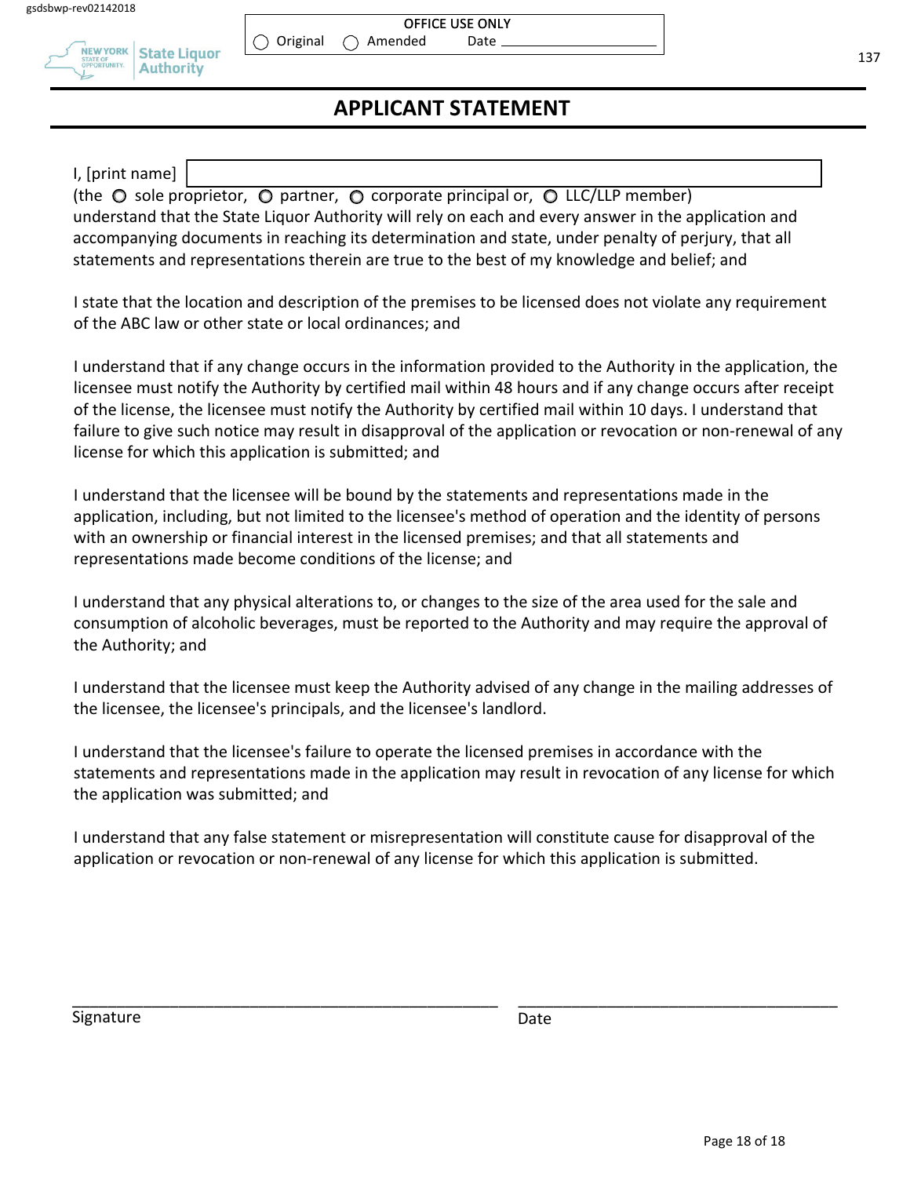

#### OFFICE USE ONLY Amended Date

 $\bigcirc$  Original

# **APPLICANT STATEMENT**

I, [print name]

(the  $\circ$  sole proprietor,  $\circ$  partner,  $\circ$  corporate principal or,  $\circ$  LLC/LLP member) understand that the State Liquor Authority will rely on each and every answer in the application and accompanying documents in reaching its determination and state, under penalty of perjury, that all statements and representations therein are true to the best of my knowledge and belief; and

I state that the location and description of the premises to be licensed does not violate any requirement of the ABC law or other state or local ordinances; and

I understand that if any change occurs in the information provided to the Authority in the application, the licensee must notify the Authority by certified mail within 48 hours and if any change occurs after receipt of the license, the licensee must notify the Authority by certified mail within 10 days. I understand that failure to give such notice may result in disapproval of the application or revocation or non-renewal of any license for which this application is submitted; and

I understand that the licensee will be bound by the statements and representations made in the application, including, but not limited to the licensee's method of operation and the identity of persons with an ownership or financial interest in the licensed premises; and that all statements and representations made become conditions of the license; and

I understand that any physical alterations to, or changes to the size of the area used for the sale and consumption of alcoholic beverages, must be reported to the Authority and may require the approval of the Authority; and

I understand that the licensee must keep the Authority advised of any change in the mailing addresses of the licensee, the licensee's principals, and the licensee's landlord.

I understand that the licensee's failure to operate the licensed premises in accordance with the statements and representations made in the application may result in revocation of any license for which the application was submitted; and

I understand that any false statement or misrepresentation will constitute cause for disapproval of the application or revocation or non-renewal of any license for which this application is submitted.

\_\_\_\_\_\_\_\_\_\_\_\_\_\_\_\_\_\_\_\_\_\_\_\_\_\_\_\_\_\_\_\_\_\_\_\_\_\_\_\_\_\_\_\_\_\_\_\_ \_\_\_\_\_\_\_\_\_\_\_\_\_\_\_\_\_\_\_\_\_\_\_\_\_\_\_\_\_\_\_\_\_\_\_\_

Signature Date